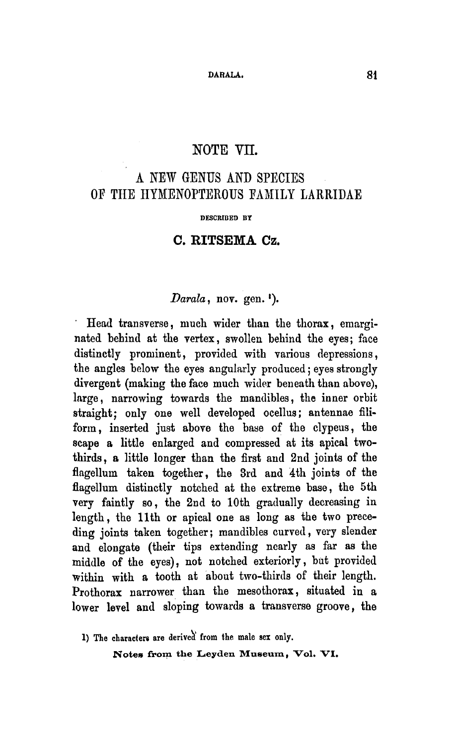## NOTE VII.

# A new genus and species of the Hymenopterous family Larridae

#### DESCRIBED BY

#### C. RITSEMA Cz.

# Darala, nov. gen.<sup>1</sup>).

 $\epsilon$ Head transverse, much wider than the thorax, emarginated behind at the vertex, swollen behind the eyes; face distinctly prominent, provided with various depressions, the angles below the eyes angularly produced; eyes strongly divergent (making the face much wider beneath than above), large, narrowing towards the mandibles, the inner orbit straight; only one well developed ocellus; antennae filiform, inserted just above the base of the clypeus, the scape <sup>a</sup> little enlarged and compressed at its apical twothirds, <sup>a</sup> little longer than the first and 2nd joints of the flagellum taken together, the 3rd and 4th joints of the flagellum distinctly notched at the extreme base, the 5th very faintly so, the 2nd to 10th gradually decreasing in length, the 11th or apical one as long as the two preceding joints taken together; mandibles curved, very slender and elongate (their tips extending nearly as far as the middle of the eyes), not notched exteriorly, but provided within with a tooth at about two-thirds of their length. Prothorax narrower than the mesothorax, situated in a lower level and sloping towards <sup>a</sup> transverse groove, the

1) The characters are derived from the male sex only.

Notes from the Leyden Museum, Vol. VI.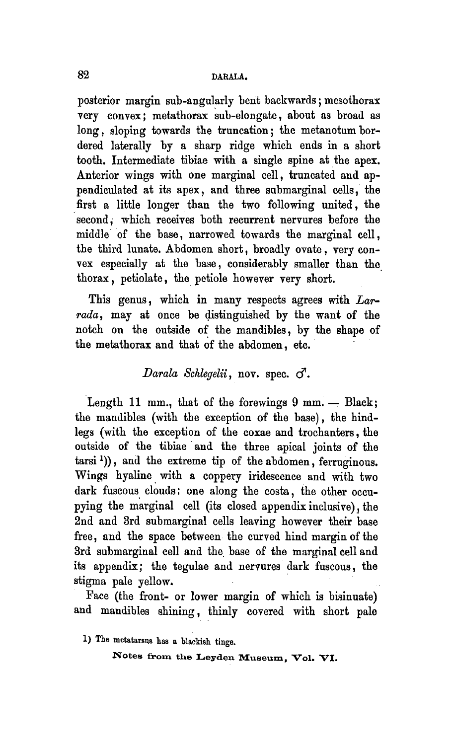### 82 DARALA.

posterior margin sub-angularly bent backwards; mesothorax very convex; metathorax sub-elongate, about as broad as long, sloping towards the truncation; the metanotum bordered laterally by <sup>a</sup> sharp ridge which ends in <sup>a</sup> short tooth. Intermediate tibiae with <sup>a</sup> single spine at the apex. Anterior wings with one marginal cell, truncated and appendiculated at its apex, and three submarginal cells, the first <sup>a</sup> little longer than the two following united, the second, which receives both recurrent nervures before the middle of the base, narrowed towards the marginal cell, the third lunate. Abdomen short, broadly ovate, very convex especially at the base, considerably smaller than the thorax, petiolate, the petiole however very short.

This genus, which in many respects agrees with  $La$ rada, may at once be distinguished by the want of the notch on the outside of the mandibles, by the shape of the metathorax and that of the abdomen, etc.

## Darala Schlegelii, nov. spec.  $\sigma$ .

Length 11 mm., that of the forewings 9 mm. - Black; the mandibles (with the exception of the base), the hindlegs (with the exception of the coxae and trochanters, the outside of the tibiae and the three apical joints of the tarsi')), and the extreme tip of the abdomen, ferruginous. Wings hyaline with <sup>a</sup> coppery iridescence and with two dark fuscous clouds: one along the costa, the other occupying the marginal cell (its closed appendix inclusive), the 2nd and 3rd submarginal cells leaving however their base free, and the space between the curved hind margin of the 3rd submarginal cell and the base of the marginal cell and its appendix; the tegulae and nervures dark fuscous, the stigma pale yellow.

Face (the front- or lower margin of which is bisinuate) and mandibles shining, thinly covered with short pale

1) The metatarsus has a blackish tinge.

Notes from the Leyden Museum, Vol. VI.